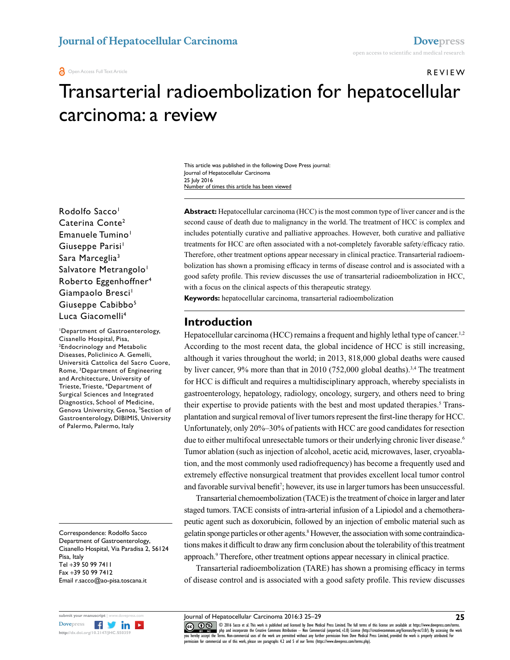REVIEW

# Transarterial radioembolization for hepatocellular<br>carcinoma: a review<br>
This article was published in the following Dove Press journal:<br>
Author Carcinoma<br>
Author of times this article has been viewed<br>
Number of times this carcinoma: a review

This article was published in the following Dove Press journal: Journal of Hepatocellular Carcinoma 25 July 2016 Number of times this article has been viewed

Number of times this article has been view<br>
Abstract: Hepatocellular carcin<br>
Caterina Conte<sup>2</sup> second cause of death due to ma<br>
Emanuele Tumino<sup>1</sup> includes potentially curative and<br>
Giuseppe Parisi<sup>1</sup> treatments for HCC ar Rodolfo Sacco<sup>1</sup> Caterina Conte2 Emanuele Tumino<sup>1</sup> Giuseppe Parisi<sup>1</sup> Sara Marceglia3 Salvatore Metrangolo<sup>1</sup> Roberto Eggenhoffner4 Giampaolo Bresci<sup>1</sup> Giuseppe Cabibbo<sup>5</sup> Luca Giacomelli<sup>4</sup>

Giampaolo Bresci<br>
Giuseppe Cabibbo<sup>5</sup><br>
Luca Giacomelli<sup>4</sup><br>
'Department of Gastroenterology,<br>
Cisanello Hospital, Pisa,<br>
<sup>2</sup>Endocrinology and Metabolic<br>
Diseases, Policlinico A. Gemelli,<br>
Università Cattolica del Sacro Cuor 1 Department of Gastroenterology, Cisanello Hospital, Pisa, 2 Endocrinology and Metabolic Diseases, Policlinico A. Gemelli, Università Cattolica del Sacro Cuore, Rome, 3 Department of Engineering and Architecture, University of Trieste, Trieste, 4 Department of Surgical Sciences and Integrated Diagnostics, School of Medicine, Genova University, Genoa, <sup>5</sup>Section of Gastroenterology, DIBIMIS, University of Palermo, Palermo, Italy

Correspondence: Rodolfo Sacco Department of Gastroenterology, Cisanello Hospital, Via Paradisa 2, 56124 Pisa, Italy Tel +39 50 99 7411 Fax +39 50 99 7412 Email r.sacco@ao-pisa.toscana.it



**Abstract:** Hepatocellular carcinoma (HCC) is the most common type of liver cancer and is the second cause of death due to malignancy in the world. The treatment of HCC is complex and includes potentially curative and palliative approaches. However, both curative and palliative treatments for HCC are often associated with a not-completely favorable safety/efficacy ratio. Therefore, other treatment options appear necessary in clinical practice. Transarterial radioembolization has shown a promising efficacy in terms of disease control and is associated with a good safety profile. This review discusses the use of transarterial radioembolization in HCC, with a focus on the clinical aspects of this therapeutic strategy.

**Keywords:** hepatocellular carcinoma, transarterial radioembolization

#### **Introduction**

hitecture, University of<br>
Trieste, 'Department of<br>
Sciences and Integrated<br>
stroenterology, hepatology, radiology, or<br>
tics, School of Medicine,<br>
University, Genoa, <sup>5</sup>Section of<br>
their expertise to provide patients with t Hepatocellular carcinoma (HCC) remains a frequent and highly lethal type of cancer.<sup>1,2</sup> According to the most recent data, the global incidence of HCC is still increasing, although it varies throughout the world; in 2013, 818,000 global deaths were caused by liver cancer,  $9\%$  more than that in 2010 (752,000 global deaths).<sup>3,4</sup> The treatment for HCC is difficult and requires a multidisciplinary approach, whereby specialists in gastroenterology, hepatology, radiology, oncology, surgery, and others need to bring their expertise to provide patients with the best and most updated therapies.<sup>5</sup> Transplantation and surgical removal of liver tumors represent the first-line therapy for HCC. Unfortunately, only 20%–30% of patients with HCC are good candidates for resection due to either multifocal unresectable tumors or their underlying chronic liver disease.<sup>6</sup> Tumor ablation (such as injection of alcohol, acetic acid, microwaves, laser, cryoablation, and the most commonly used radiofrequency) has become a frequently used and extremely effective nonsurgical treatment that provides excellent local tumor control and favorable survival benefit<sup>7</sup>; however, its use in larger tumors has been unsuccessful.

due to either multifocal unresectable tumors or their underlying chronic liver disease.<br>Tumor ablation (such as injection of alcohol, acetic acid, microwaves, laser, cryoabla-<br>tion, and the most commonly used radiofrequenc Transarterial chemoembolization (TACE) is the treatment of choice in larger and later staged tumors. TACE consists of intra-arterial infusion of a Lipiodol and a chemotherapeutic agent such as doxorubicin, followed by an injection of embolic material such as gelatin sponge particles or other agents.<sup>8</sup> However, the association with some contraindications makes it difficult to draw any firm conclusion about the tolerability of this treatment approach.<sup>9</sup> Therefore, other treatment options appear necessary in clinical practice.

Transarterial radioembolization (TARE) has shown a promising efficacy in terms of disease control and is associated with a good safety profile. This review discusses

erms. Non-commercial uses of the work are permitted without any turtiner permission from Dove Medical Press Limited, provided the work is properly attributed. For<br>-1 was of this work along any area creative Common License. permission for commercial use of this work, please see paragraphs 4.2 and 5 of our Terms (https://www.dovepress.com/terms.php). CODI6 Sacco et al. This work is published and licensed by Dove Medical Press Limited. The full terms of this license are available at https://www.dovepress.com/terms.<br> [you hereby accept the T](http://www.dovepress.com/permissions.php)erms. Non-commercial uses of th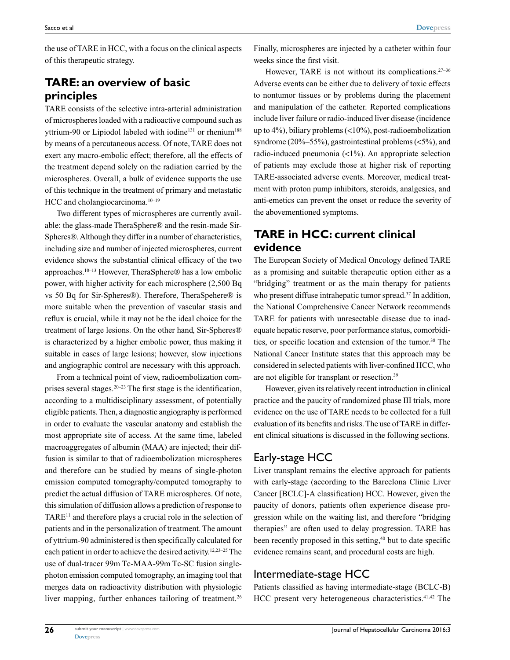the use of TARE in HCC, with a focus on the clinical aspects of this therapeutic strategy.

# **TARE: an overview of basic principles**

TARE consists of the selective intra-arterial administration of microspheres loaded with a radioactive compound such as yttrium-90 or Lipiodol labeled with iodine<sup>131</sup> or rhenium<sup>188</sup> by means of a percutaneous access. Of note, TARE does not exert any macro-embolic effect; therefore, all the effects of the treatment depend solely on the radiation carried by the microspheres. Overall, a bulk of evidence supports the use of this technique in the treatment of primary and metastatic HCC and cholangiocarcinoma.<sup>10-19</sup>

Two different types of microspheres are currently available: the glass-made TheraSphere® and the resin-made Sir-Spheres®. Although they differ in a number of characteristics, including size and number of injected microspheres, current evidence shows the substantial clinical efficacy of the two approaches.10–13 However, TheraSphere® has a low embolic power, with higher activity for each microsphere (2,500 Bq vs 50 Bq for Sir-Spheres®). Therefore, TheraSpehere® is more suitable when the prevention of vascular stasis and reflux is crucial, while it may not be the ideal choice for the treatment of large lesions. On the other hand, Sir-Spheres® is characterized by a higher embolic power, thus making it suitable in cases of large lesions; however, slow injections and angiographic control are necessary with this approach.

From a technical point of view, radioembolization comprises several stages.<sup>20–23</sup> The first stage is the identification, according to a multidisciplinary assessment, of potentially eligible patients. Then, a diagnostic angiography is performed in order to evaluate the vascular anatomy and establish the most appropriate site of access. At the same time, labeled macroaggregates of albumin (MAA) are injected; their diffusion is similar to that of radioembolization microspheres and therefore can be studied by means of single-photon emission computed tomography/computed tomography to predict the actual diffusion of TARE microspheres. Of note, this simulation of diffusion allows a prediction of response to TARE<sup>11</sup> and therefore plays a crucial role in the selection of patients and in the personalization of treatment. The amount of yttrium-90 administered is then specifically calculated for each patient in order to achieve the desired activity.12,23–25 The use of dual-tracer 99m Tc-MAA-99m Tc-SC fusion singlephoton emission computed tomography, an imaging tool that merges data on radioactivity distribution with physiologic liver mapping, further enhances tailoring of treatment.<sup>26</sup>

Finally, microspheres are injected by a catheter within four weeks since the first visit.

However, TARE is not without its complications. $27-36$ Adverse events can be either due to delivery of toxic effects to nontumor tissues or by problems during the placement and manipulation of the catheter. Reported complications include liver failure or radio-induced liver disease (incidence up to 4%), biliary problems (<10%), post-radioembolization syndrome (20%–55%), gastrointestinal problems (<5%), and radio-induced pneumonia (<1%). An appropriate selection of patients may exclude those at higher risk of reporting TARE-associated adverse events. Moreover, medical treatment with proton pump inhibitors, steroids, analgesics, and anti-emetics can prevent the onset or reduce the severity of the abovementioned symptoms.

# **TARE in HCC: current clinical evidence**

The European Society of Medical Oncology defined TARE as a promising and suitable therapeutic option either as a "bridging" treatment or as the main therapy for patients who present diffuse intrahepatic tumor spread.<sup>37</sup> In addition, the National Comprehensive Cancer Network recommends TARE for patients with unresectable disease due to inadequate hepatic reserve, poor performance status, comorbidities, or specific location and extension of the tumor.<sup>38</sup> The National Cancer Institute states that this approach may be considered in selected patients with liver-confined HCC, who are not eligible for transplant or resection.39

However, given its relatively recent introduction in clinical practice and the paucity of randomized phase III trials, more evidence on the use of TARE needs to be collected for a full evaluation of its benefits and risks. The use of TARE in different clinical situations is discussed in the following sections.

# Early-stage HCC

Liver transplant remains the elective approach for patients with early-stage (according to the Barcelona Clinic Liver Cancer [BCLC]-A classification) HCC. However, given the paucity of donors, patients often experience disease progression while on the waiting list, and therefore "bridging therapies" are often used to delay progression. TARE has been recently proposed in this setting,<sup>40</sup> but to date specific evidence remains scant, and procedural costs are high.

### Intermediate-stage HCC

Patients classified as having intermediate-stage (BCLC-B) HCC present very heterogeneous characteristics.41,42 The

**26**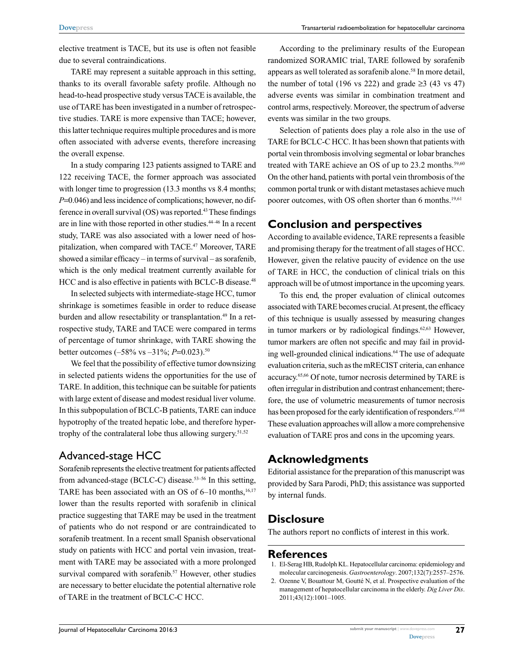elective treatment is TACE, but its use is often not feasible due to several contraindications.

TARE may represent a suitable approach in this setting, thanks to its overall favorable safety profile. Although no head-to-head prospective study versus TACE is available, the use of TARE has been investigated in a number of retrospective studies. TARE is more expensive than TACE; however, this latter technique requires multiple procedures and is more often associated with adverse events, therefore increasing the overall expense.

In a study comparing 123 patients assigned to TARE and 122 receiving TACE, the former approach was associated with longer time to progression (13.3 months vs 8.4 months; *P*=0.046) and less incidence of complications; however, no difference in overall survival (OS) was reported.43 These findings are in line with those reported in other studies.44–46 In a recent study, TARE was also associated with a lower need of hospitalization, when compared with TACE.<sup>47</sup> Moreover, TARE showed a similar efficacy – in terms of survival – as sorafenib, which is the only medical treatment currently available for HCC and is also effective in patients with BCLC-B disease.<sup>48</sup>

In selected subjects with intermediate-stage HCC, tumor shrinkage is sometimes feasible in order to reduce disease burden and allow resectability or transplantation.<sup>49</sup> In a retrospective study, TARE and TACE were compared in terms of percentage of tumor shrinkage, with TARE showing the better outcomes (–58% vs –31%; *P*=0.023).50

We feel that the possibility of effective tumor downsizing in selected patients widens the opportunities for the use of TARE. In addition, this technique can be suitable for patients with large extent of disease and modest residual liver volume. In this subpopulation of BCLC-B patients, TARE can induce hypotrophy of the treated hepatic lobe, and therefore hypertrophy of the contralateral lobe thus allowing surgery. $51,52$ 

### Advanced-stage HCC

Sorafenib represents the elective treatment for patients affected from advanced-stage (BCLC-C) disease.<sup>53-56</sup> In this setting, TARE has been associated with an OS of  $6-10$  months,<sup>16,17</sup> lower than the results reported with sorafenib in clinical practice suggesting that TARE may be used in the treatment of patients who do not respond or are contraindicated to sorafenib treatment. In a recent small Spanish observational study on patients with HCC and portal vein invasion, treatment with TARE may be associated with a more prolonged survival compared with sorafenib.<sup>57</sup> However, other studies are necessary to better elucidate the potential alternative role of TARE in the treatment of BCLC-C HCC.

According to the preliminary results of the European randomized SORAMIC trial, TARE followed by sorafenib appears as well tolerated as sorafenib alone.<sup>58</sup> In more detail, the number of total (196 vs 222) and grade  $\geq$ 3 (43 vs 47) adverse events was similar in combination treatment and control arms, respectively. Moreover, the spectrum of adverse events was similar in the two groups.

Selection of patients does play a role also in the use of TARE for BCLC-C HCC. It has been shown that patients with portal vein thrombosis involving segmental or lobar branches treated with TARE achieve an OS of up to 23.2 months.<sup>59,60</sup> On the other hand, patients with portal vein thrombosis of the common portal trunk or with distant metastases achieve much poorer outcomes, with OS often shorter than 6 months.<sup>19,61</sup>

## **Conclusion and perspectives**

According to available evidence, TARE represents a feasible and promising therapy for the treatment of all stages of HCC. However, given the relative paucity of evidence on the use of TARE in HCC, the conduction of clinical trials on this approach will be of utmost importance in the upcoming years.

To this end, the proper evaluation of clinical outcomes associated with TARE becomes crucial. At present, the efficacy of this technique is usually assessed by measuring changes in tumor markers or by radiological findings.<sup>62,63</sup> However, tumor markers are often not specific and may fail in providing well-grounded clinical indications.<sup>64</sup> The use of adequate evaluation criteria, such as the mRECIST criteria, can enhance accuracy.65,66 Of note, tumor necrosis determined by TARE is often irregular in distribution and contrast enhancement; therefore, the use of volumetric measurements of tumor necrosis has been proposed for the early identification of responders.<sup>67,68</sup> These evaluation approaches will allow a more comprehensive evaluation of TARE pros and cons in the upcoming years.

# **Acknowledgments**

Editorial assistance for the preparation of this manuscript was provided by Sara Parodi, PhD; this assistance was supported by internal funds.

# **Disclosure**

The authors report no conflicts of interest in this work.

#### **References**

- 1. El-Serag HB, Rudolph KL. Hepatocellular carcinoma: epidemiology and molecular carcinogenesis. *Gastroenterology*. 2007;132(7):2557–2576.
- 2. Ozenne V, Bouattour M, Goutté N, et al. Prospective evaluation of the management of hepatocellular carcinoma in the elderly. *Dig Liver Dis*. 2011;43(12):1001–1005.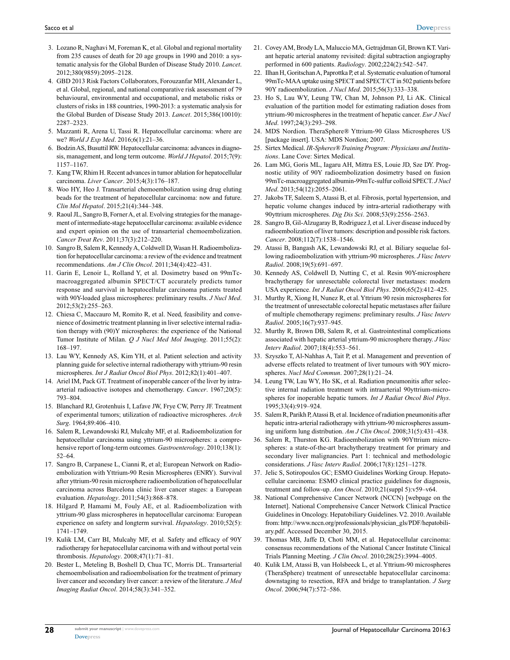- 3. Lozano R, Naghavi M, Foreman K, et al. Global and regional mortality from 235 causes of death for 20 age groups in 1990 and 2010: a systematic analysis for the Global Burden of Disease Study 2010. *Lancet*. 2012;380(9859):2095–2128.
- 4. GBD 2013 Risk Factors Collaborators, Forouzanfar MH, Alexander L, et al. Global, regional, and national comparative risk assessment of 79 behavioural, environmental and occupational, and metabolic risks or clusters of risks in 188 countries, 1990-2013: a systematic analysis for the Global Burden of Disease Study 2013. *Lancet*. 2015;386(10010): 2287–2323.
- 5. Mazzanti R, Arena U, Tassi R. Hepatocellular carcinoma: where are we? *World J Exp Med*. 2016;6(1):21–36.
- 6. Bodzin AS, Busuttil RW. Hepatocellular carcinoma: advances in diagnosis, management, and long term outcome. *World J Hepatol*. 2015;7(9): 1157–1167.
- 7. Kang TW, Rhim H. Recent advances in tumor ablation for hepatocellular carcinoma. *Liver Cancer*. 2015;4(3):176–187.
- 8. Woo HY, Heo J. Transarterial chemoembolization using drug eluting beads for the treatment of hepatocellular carcinoma: now and future. *Clin Mol Hepatol*. 2015;21(4):344–348.
- 9. Raoul JL, Sangro B, Forner A, et al. Evolving strategies for the management of intermediate-stage hepatocellular carcinoma: available evidence and expert opinion on the use of transarterial chemoembolization. *Cancer Treat Rev*. 2011;37(3):212–220.
- 10. Sangro B, Salem R, Kennedy A, Coldwell D, Wasan H. Radioembolization for hepatocellular carcinoma: a review of the evidence and treatment recommendations. *Am J Clin Oncol*. 2011;34(4):422–431.
- 11. Garin E, Lenoir L, Rolland Y, et al. Dosimetry based on 99mTcmacroaggregated albumin SPECT/CT accurately predicts tumor response and survival in hepatocellular carcinoma patients treated with 90Y-loaded glass microspheres: preliminary results. *J Nucl Med*. 2012;53(2):255–263.
- 12. Chiesa C, Maccauro M, Romito R, et al. Need, feasibility and convenience of dosimetric treatment planning in liver selective internal radiation therapy with (90)Y microspheres: the experience of the National Tumor Institute of Milan. *Q J Nucl Med Mol Imaging*. 2011;55(2): 168–197.
- 13. Lau WY, Kennedy AS, Kim YH, et al. Patient selection and activity planning guide for selective internal radiotherapy with yttrium-90 resin microspheres. *Int J Radiat Oncol Biol Phys*. 2012;82(1):401–407.
- 14. Ariel IM, Pack GT. Treatment of inoperable cancer of the liver by intraarterial radioactive isotopes and chemotherapy. *Cancer*. 1967;20(5): 793–804.
- 15. Blanchard RJ, Grotenhuis I, Lafave JW, Frye CW, Perry JF. Treatment of experimental tumors; utilization of radioactive microspheres. *Arch Surg*. 1964;89:406–410.
- 16. Salem R, Lewandowski RJ, Mulcahy MF, et al. Radioembolization for hepatocellular carcinoma using yttrium-90 microspheres: a comprehensive report of long-term outcomes. *Gastroenterology*. 2010;138(1): 52–64.
- 17. Sangro B, Carpanese L, Cianni R, et al; European Network on Radioembolization with Yttrium-90 Resin Microspheres (ENRY). Survival after yttrium-90 resin microsphere radioembolization of hepatocellular carcinoma across Barcelona clinic liver cancer stages: a European evaluation. *Hepatology*. 2011;54(3):868–878.
- 18. Hilgard P, Hamami M, Fouly AE, et al. Radioembolization with yttrium-90 glass microspheres in hepatocellular carcinoma: European experience on safety and longterm survival. *Hepatology*. 2010;52(5): 1741–1749.
- 19. Kulik LM, Carr BI, Mulcahy MF, et al. Safety and efficacy of 90Y radiotherapy for hepatocellular carcinoma with and without portal vein thrombosis. *Hepatology*. 2008;47(1):71–81.
- 20. Bester L, Meteling B, Boshell D, Chua TC, Morris DL. Transarterial chemoembolisation and radioembolisation for the treatment of primary liver cancer and secondary liver cancer: a review of the literature. *J Med Imaging Radiat Oncol*. 2014;58(3):341–352.
- 21. Covey AM, Brody LA, Maluccio MA, Getrajdman GI, Brown KT. Variant hepatic arterial anatomy revisited: digital subtraction angiography performed in 600 patients. *Radiology*. 2002;224(2):542–547.
- 22. Ilhan H, Goritschan A, Paprottka P, et al. Systematic evaluation of tumoral 99mTc-MAA uptake using SPECT and SPECT/CT in 502 patients before 90Y radioembolization. *J Nucl Med*. 2015;56(3):333–338.
- 23. Ho S, Lau WY, Leung TW, Chan M, Johnson PJ, Li AK. Clinical evaluation of the partition model for estimating radiation doses from yttrium-90 microspheres in the treatment of hepatic cancer. *Eur J Nucl Med*. 1997;24(3):293–298.
- 24. MDS Nordion. TheraSphere® Yttrium-90 Glass Microspheres US [package insert]. USA: MDS Nordion; 2007.
- 25. Sirtex Medical. *IR-Spheres® Training Program: Physicians and Institutions*. Lane Cove: Sirtex Medical.
- 26. Lam MG, Goris ML, Iagaru AH, Mittra ES, Louie JD, Sze DY. Prognostic utility of 90Y radioembolization dosimetry based on fusion 99mTc-macroaggregated albumin-99mTc-sulfur colloid SPECT. *J Nucl Med*. 2013;54(12):2055–2061.
- 27. Jakobs TF, Saleem S, Atassi B, et al. Fibrosis, portal hypertension, and hepatic volume changes induced by intra-arterial radiotherapy with 90yttrium microspheres. *Dig Dis Sci*. 2008;53(9):2556–2563.
- 28. Sangro B, Gil-Alzugaray B, Rodriguez J, et al. Liver disease induced by radioembolization of liver tumors: description and possible risk factors. *Cancer*. 2008;112(7):1538–1546.
- 29. Atassi B, Bangash AK, Lewandowski RJ, et al. Biliary sequelae following radioembolization with yttrium-90 microspheres. *J Vasc Interv Radiol*. 2008;19(5):691–697.
- 30. Kennedy AS, Coldwell D, Nutting C, et al. Resin 90Y-microsphere brachytherapy for unresectable colorectal liver metastases: modern USA experience. *Int J Radiat Oncol Biol Phys*. 2006;65(2):412–425.
- 31. Murthy R, Xiong H, Nunez R, et al. Yttrium 90 resin microspheres for the treatment of unresectable colorectal hepatic metastases after failure of multiple chemotherapy regimens: preliminary results. *J Vasc Interv Radiol*. 2005;16(7):937–945.
- 32. Murthy R, Brown DB, Salem R, et al. Gastrointestinal complications associated with hepatic arterial yttrium-90 microsphere therapy. *J Vasc Interv Radiol*. 2007;18(4):553–561.
- 33. Szyszko T, Al-Nahhas A, Tait P, et al. Management and prevention of adverse effects related to treatment of liver tumours with 90Y microspheres. *Nucl Med Commun*. 2007;28(1):21–24.
- 34. Leung TW, Lau WY, Ho SK, et al. Radiation pneumonitis after selective internal radiation treatment with intraarterial 90yttrium-microspheres for inoperable hepatic tumors. *Int J Radiat Oncol Biol Phys*. 1995;33(4):919–924.
- 35. Salem R, Parikh P, Atassi B, et al. Incidence of radiation pneumonitis after hepatic intra-arterial radiotherapy with yttrium-90 microspheres assuming uniform lung distribution. *Am J Clin Oncol*. 2008;31(5):431–438.
- 36. Salem R, Thurston KG. Radioembolization with 90Yttrium microspheres: a state-of-the-art brachytherapy treatment for primary and secondary liver malignancies. Part 1: technical and methodologic considerations. *J Vasc Interv Radiol*. 2006;17(8):1251–1278.
- 37. Jelic S, Sotiropoulos GC; ESMO Guidelines Working Group. Hepatocellular carcinoma: ESMO clinical practice guidelines for diagnosis, treatment and follow-up. *Ann Oncol*. 2010;21(suppl 5):v59–v64.
- 38. National Comprehensive Cancer Network (NCCN) [webpage on the Internet]. National Comprehensive Cancer Network Clinical Practice Guidelines in Oncology. Hepatobiliary Guidelines. V2. 2010. Available from: http://www.nccn.org/professionals/physician\_gls/PDF/hepatobiliary.pdf. Accessed December 30, 2015.
- 39. Thomas MB, Jaffe D, Choti MM, et al. Hepatocellular carcinoma: consensus recommendations of the National Cancer Institute Clinical Trials Planning Meeting. *J Clin Oncol*. 2010;28(25):3994–4005.
- 40. Kulik LM, Atassi B, van Holsbeeck L, et al. Yttrium-90 microspheres (TheraSphere) treatment of unresectable hepatocellular carcinoma: downstaging to resection, RFA and bridge to transplantation. *J Surg Oncol*. 2006;94(7):572–586.

**28**